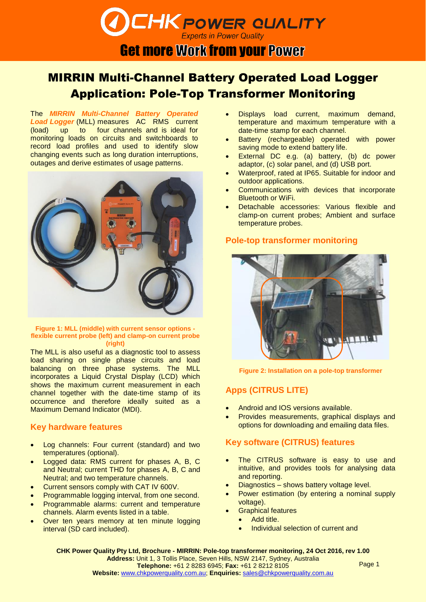## **Experts in Power Quality Get more Work from your Power**

**CHK POWER CUALITY** 

# MIRRIN Multi-Channel Battery Operated Load Logger Application: Pole-Top Transformer Monitoring

The *MIRRIN Multi-Channel Battery Operated Load Logger* (MLL) measures AC RMS current (load) up to four channels and is ideal for monitoring loads on circuits and switchboards to record load profiles and used to identify slow changing events such as long duration interruptions, outages and derive estimates of usage patterns.



#### **Figure 1: MLL (middle) with current sensor options flexible current probe (left) and clamp-on current probe (right)**

The MLL is also useful as a diagnostic tool to assess load sharing on single phase circuits and load balancing on three phase systems. The MLL incorporates a Liquid Crystal Display (LCD) which shows the maximum current measurement in each channel together with the date-time stamp of its occurrence and therefore ideally suited as a Maximum Demand Indicator (MDI).

### **Key hardware features**

- Log channels: Four current (standard) and two temperatures (optional).
- Logged data: RMS current for phases A, B, C and Neutral; current THD for phases A, B, C and Neutral; and two temperature channels.
- Current sensors comply with CAT IV 600V.
- Programmable logging interval, from one second.
- Programmable alarms: current and temperature channels. Alarm events listed in a table.
- Over ten years memory at ten minute logging interval (SD card included).
- Displays load current, maximum demand, temperature and maximum temperature with a date-time stamp for each channel.
- Battery (rechargeable) operated with power saving mode to extend battery life.
- External DC e.g. (a) battery, (b) dc power adaptor, (c) solar panel, and (d) USB port.
- Waterproof, rated at IP65. Suitable for indoor and outdoor applications.
- Communications with devices that incorporate Bluetooth or WiFi.
- Detachable accessories: Various flexible and clamp-on current probes; Ambient and surface temperature probes.

#### **Pole-top transformer monitoring**



**Figure 2: Installation on a pole-top transformer**

### **Apps (CITRUS LITE)**

- Android and IOS versions available.
- Provides measurements, graphical displays and options for downloading and emailing data files.

## **Key software (CITRUS) features**

- The CITRUS software is easy to use and intuitive, and provides tools for analysing data and reporting.
- Diagnostics shows battery voltage level.
- Power estimation (by entering a nominal supply voltage).
- Graphical features
	- Add title.
	- Individual selection of current and